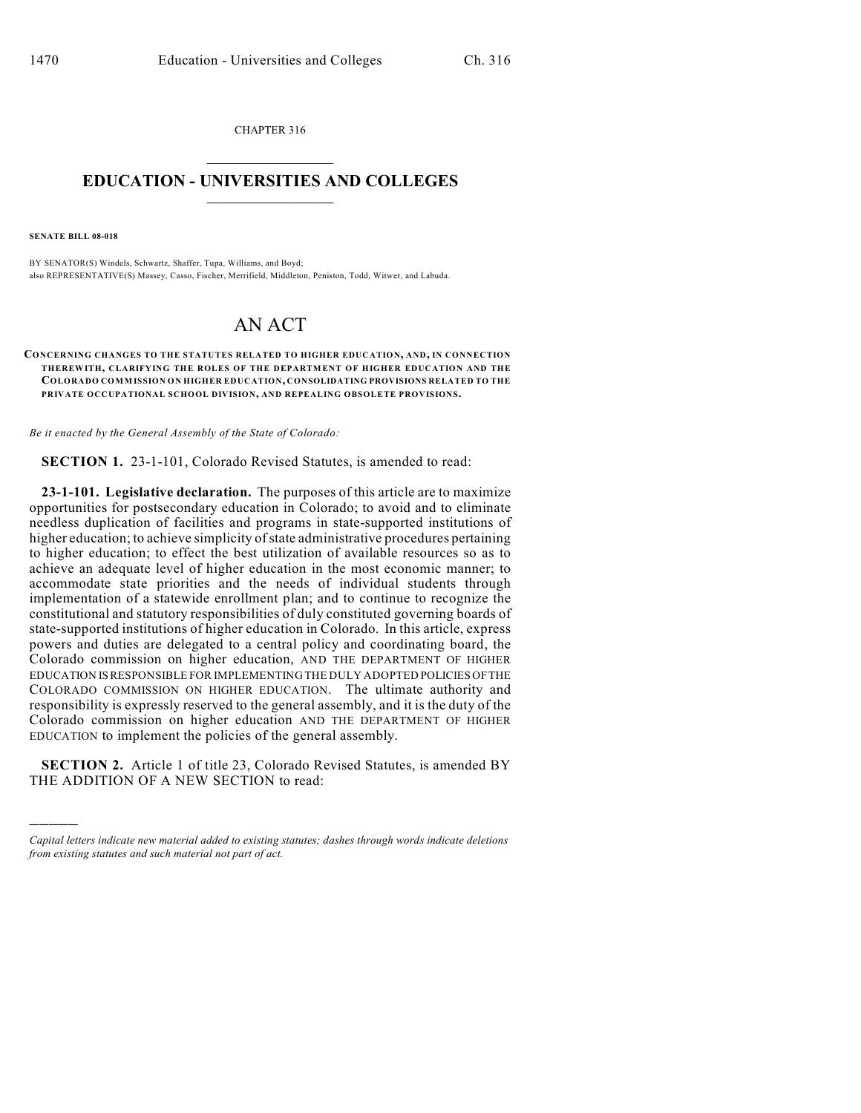CHAPTER 316  $\mathcal{L}_\text{max}$  . The set of the set of the set of the set of the set of the set of the set of the set of the set of the set of the set of the set of the set of the set of the set of the set of the set of the set of the set

## **EDUCATION - UNIVERSITIES AND COLLEGES**  $\frac{1}{2}$  ,  $\frac{1}{2}$  ,  $\frac{1}{2}$  ,  $\frac{1}{2}$  ,  $\frac{1}{2}$  ,  $\frac{1}{2}$  ,  $\frac{1}{2}$

**SENATE BILL 08-018**

)))))

BY SENATOR(S) Windels, Schwartz, Shaffer, Tupa, Williams, and Boyd; also REPRESENTATIVE(S) Massey, Casso, Fischer, Merrifield, Middleton, Peniston, Todd, Witwer, and Labuda.

## AN ACT

**CONCERNING CHANGES TO THE STATUTES RELATED TO HIGHER EDUCATION, AND, IN CONNECTION THEREWITH, CLARIFYING THE ROLES OF THE DEPARTMENT OF HIGHER EDUCATION AND THE COLORADO COMMISSION ON HIGHER EDUCATION, CONSOLIDATING PROVISIONS RELATED TO THE PRIVATE OCCUPATIONAL SCHOOL DIVISION, AND REPEALING OBSOLETE PROVISIONS.**

*Be it enacted by the General Assembly of the State of Colorado:*

**SECTION 1.** 23-1-101, Colorado Revised Statutes, is amended to read:

**23-1-101. Legislative declaration.** The purposes of this article are to maximize opportunities for postsecondary education in Colorado; to avoid and to eliminate needless duplication of facilities and programs in state-supported institutions of higher education; to achieve simplicity of state administrative procedures pertaining to higher education; to effect the best utilization of available resources so as to achieve an adequate level of higher education in the most economic manner; to accommodate state priorities and the needs of individual students through implementation of a statewide enrollment plan; and to continue to recognize the constitutional and statutory responsibilities of duly constituted governing boards of state-supported institutions of higher education in Colorado. In this article, express powers and duties are delegated to a central policy and coordinating board, the Colorado commission on higher education, AND THE DEPARTMENT OF HIGHER EDUCATION IS RESPONSIBLE FOR IMPLEMENTING THE DULY ADOPTED POLICIES OF THE COLORADO COMMISSION ON HIGHER EDUCATION. The ultimate authority and responsibility is expressly reserved to the general assembly, and it is the duty of the Colorado commission on higher education AND THE DEPARTMENT OF HIGHER EDUCATION to implement the policies of the general assembly.

**SECTION 2.** Article 1 of title 23, Colorado Revised Statutes, is amended BY THE ADDITION OF A NEW SECTION to read:

*Capital letters indicate new material added to existing statutes; dashes through words indicate deletions from existing statutes and such material not part of act.*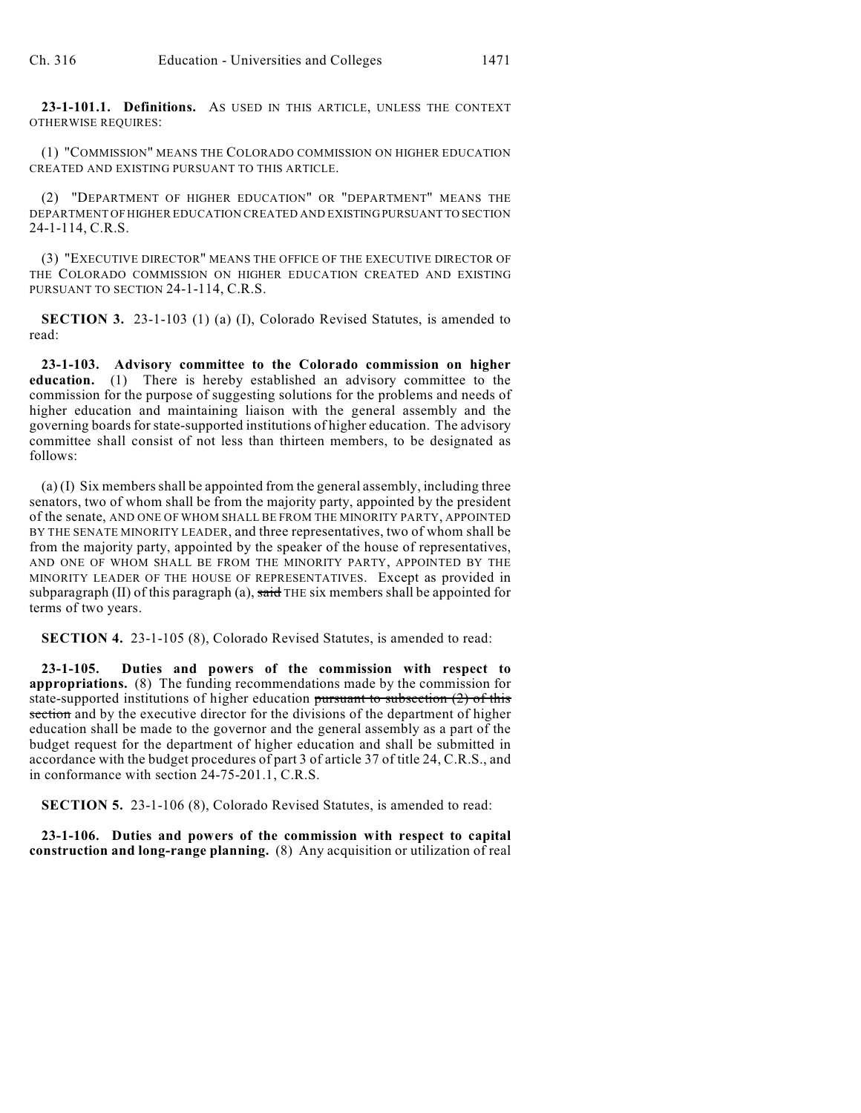**23-1-101.1. Definitions.** AS USED IN THIS ARTICLE, UNLESS THE CONTEXT OTHERWISE REQUIRES:

(1) "COMMISSION" MEANS THE COLORADO COMMISSION ON HIGHER EDUCATION CREATED AND EXISTING PURSUANT TO THIS ARTICLE.

(2) "DEPARTMENT OF HIGHER EDUCATION" OR "DEPARTMENT" MEANS THE DEPARTMENT OF HIGHER EDUCATION CREATED AND EXISTING PURSUANT TO SECTION 24-1-114, C.R.S.

(3) "EXECUTIVE DIRECTOR" MEANS THE OFFICE OF THE EXECUTIVE DIRECTOR OF THE COLORADO COMMISSION ON HIGHER EDUCATION CREATED AND EXISTING PURSUANT TO SECTION 24-1-114, C.R.S.

**SECTION 3.** 23-1-103 (1) (a) (I), Colorado Revised Statutes, is amended to read:

**23-1-103. Advisory committee to the Colorado commission on higher education.** (1) There is hereby established an advisory committee to the commission for the purpose of suggesting solutions for the problems and needs of higher education and maintaining liaison with the general assembly and the governing boards for state-supported institutions of higher education. The advisory committee shall consist of not less than thirteen members, to be designated as follows:

(a) (I) Six members shall be appointed from the general assembly, including three senators, two of whom shall be from the majority party, appointed by the president of the senate, AND ONE OF WHOM SHALL BE FROM THE MINORITY PARTY, APPOINTED BY THE SENATE MINORITY LEADER, and three representatives, two of whom shall be from the majority party, appointed by the speaker of the house of representatives, AND ONE OF WHOM SHALL BE FROM THE MINORITY PARTY, APPOINTED BY THE MINORITY LEADER OF THE HOUSE OF REPRESENTATIVES. Except as provided in subparagraph  $(II)$  of this paragraph  $(a)$ , said THE six members shall be appointed for terms of two years.

**SECTION 4.** 23-1-105 (8), Colorado Revised Statutes, is amended to read:

**23-1-105. Duties and powers of the commission with respect to appropriations.** (8) The funding recommendations made by the commission for state-supported institutions of higher education pursuant to subsection  $(2)$  of this section and by the executive director for the divisions of the department of higher education shall be made to the governor and the general assembly as a part of the budget request for the department of higher education and shall be submitted in accordance with the budget procedures of part 3 of article 37 of title 24, C.R.S., and in conformance with section 24-75-201.1, C.R.S.

**SECTION 5.** 23-1-106 (8), Colorado Revised Statutes, is amended to read:

**23-1-106. Duties and powers of the commission with respect to capital construction and long-range planning.** (8) Any acquisition or utilization of real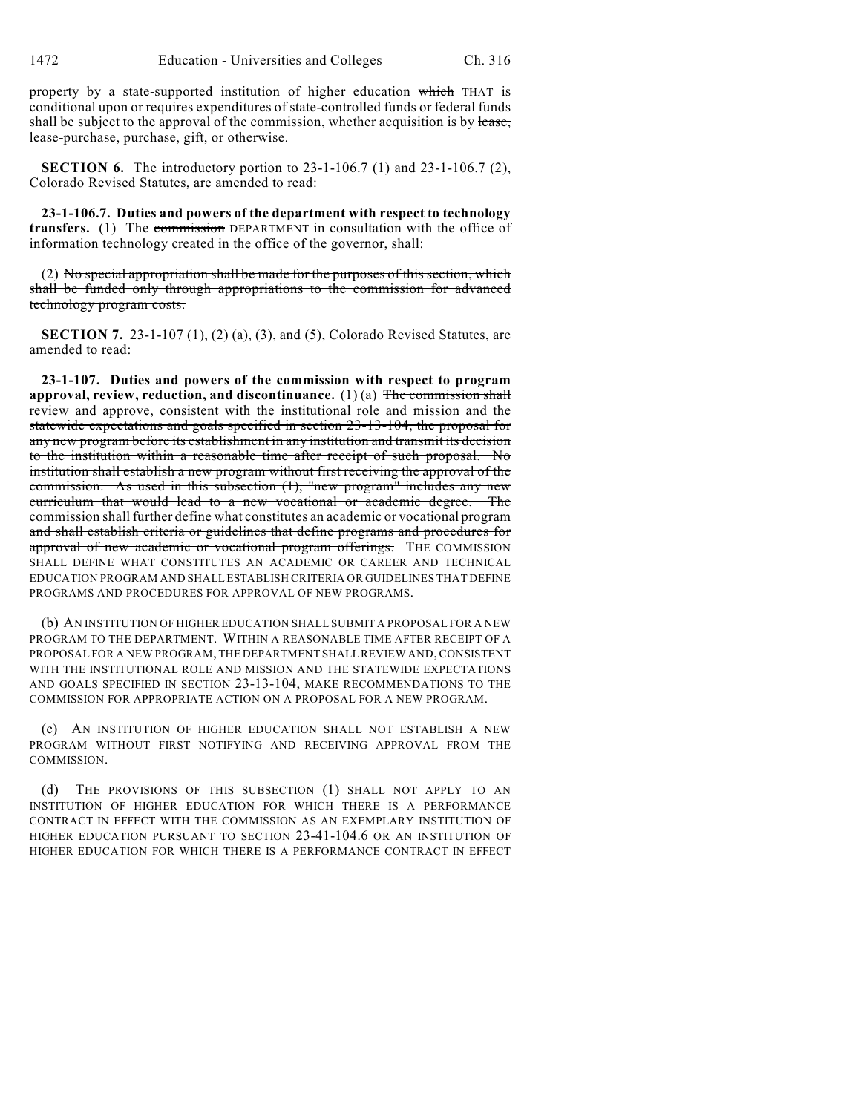property by a state-supported institution of higher education which THAT is conditional upon or requires expenditures of state-controlled funds or federal funds shall be subject to the approval of the commission, whether acquisition is by lease, lease-purchase, purchase, gift, or otherwise.

**SECTION 6.** The introductory portion to 23-1-106.7 (1) and 23-1-106.7 (2), Colorado Revised Statutes, are amended to read:

**23-1-106.7. Duties and powers of the department with respect to technology transfers.** (1) The commission DEPARTMENT in consultation with the office of information technology created in the office of the governor, shall:

(2) No special appropriation shall be made for the purposes of this section, which shall be funded only through appropriations to the commission for advanced technology program costs.

**SECTION 7.** 23-1-107 (1), (2) (a), (3), and (5), Colorado Revised Statutes, are amended to read:

**23-1-107. Duties and powers of the commission with respect to program approval, review, reduction, and discontinuance.** (1) (a) The commission shall review and approve, consistent with the institutional role and mission and the statewide expectations and goals specified in section 23-13-104, the proposal for any new program before its establishment in any institution and transmit its decision to the institution within a reasonable time after receipt of such proposal. No institution shall establish a new program without first receiving the approval of the commission. As used in this subsection (1), "new program" includes any new curriculum that would lead to a new vocational or academic degree. The commission shall further define what constitutes an academic or vocational program and shall establish criteria or guidelines that define programs and procedures for approval of new academic or vocational program offerings. THE COMMISSION SHALL DEFINE WHAT CONSTITUTES AN ACADEMIC OR CAREER AND TECHNICAL EDUCATION PROGRAM AND SHALL ESTABLISH CRITERIA OR GUIDELINES THAT DEFINE PROGRAMS AND PROCEDURES FOR APPROVAL OF NEW PROGRAMS.

(b) AN INSTITUTION OF HIGHER EDUCATION SHALL SUBMIT A PROPOSAL FOR A NEW PROGRAM TO THE DEPARTMENT. WITHIN A REASONABLE TIME AFTER RECEIPT OF A PROPOSAL FOR A NEW PROGRAM, THE DEPARTMENT SHALL REVIEW AND, CONSISTENT WITH THE INSTITUTIONAL ROLE AND MISSION AND THE STATEWIDE EXPECTATIONS AND GOALS SPECIFIED IN SECTION 23-13-104, MAKE RECOMMENDATIONS TO THE COMMISSION FOR APPROPRIATE ACTION ON A PROPOSAL FOR A NEW PROGRAM.

(c) AN INSTITUTION OF HIGHER EDUCATION SHALL NOT ESTABLISH A NEW PROGRAM WITHOUT FIRST NOTIFYING AND RECEIVING APPROVAL FROM THE COMMISSION.

(d) THE PROVISIONS OF THIS SUBSECTION (1) SHALL NOT APPLY TO AN INSTITUTION OF HIGHER EDUCATION FOR WHICH THERE IS A PERFORMANCE CONTRACT IN EFFECT WITH THE COMMISSION AS AN EXEMPLARY INSTITUTION OF HIGHER EDUCATION PURSUANT TO SECTION 23-41-104.6 OR AN INSTITUTION OF HIGHER EDUCATION FOR WHICH THERE IS A PERFORMANCE CONTRACT IN EFFECT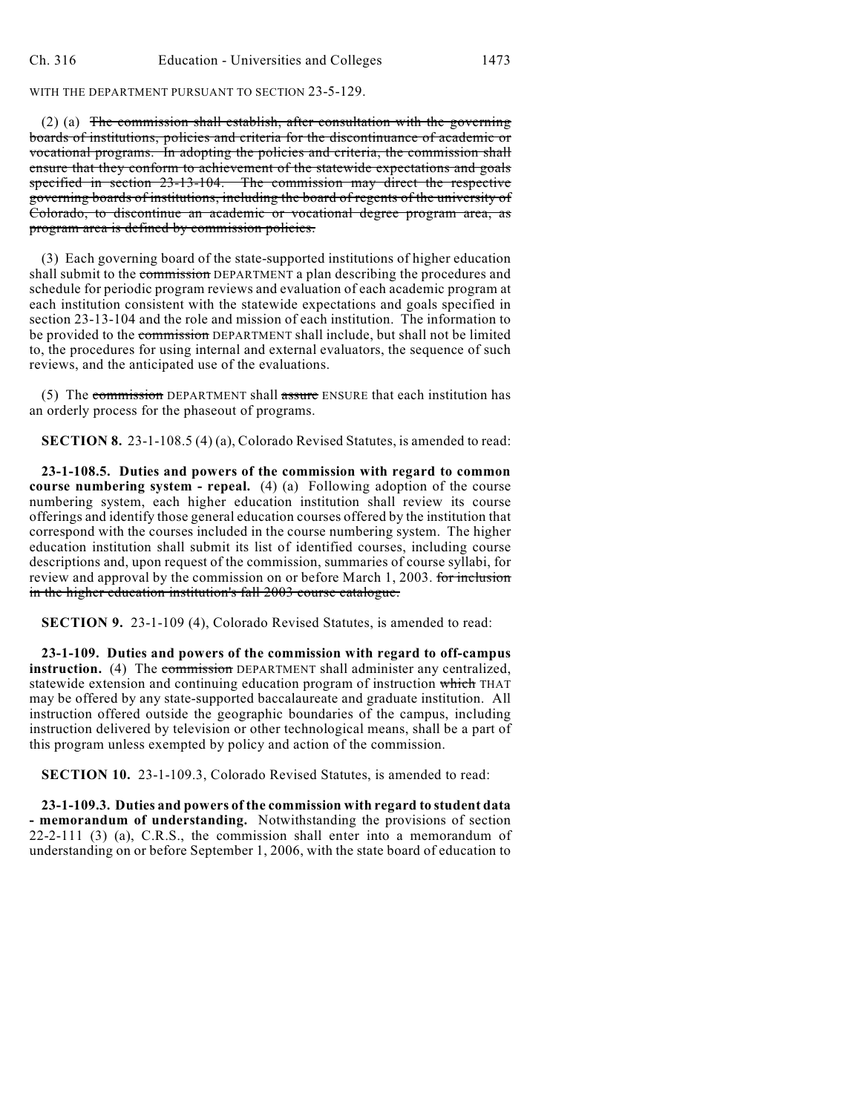## WITH THE DEPARTMENT PURSUANT TO SECTION 23-5-129.

(2) (a) The commission shall establish, after consultation with the governing boards of institutions, policies and criteria for the discontinuance of academic or vocational programs. In adopting the policies and criteria, the commission shall ensure that they conform to achievement of the statewide expectations and goals specified in section 23-13-104. The commission may direct the respective governing boards of institutions, including the board of regents of the university of Colorado, to discontinue an academic or vocational degree program area, as program area is defined by commission policies.

(3) Each governing board of the state-supported institutions of higher education shall submit to the commission DEPARTMENT a plan describing the procedures and schedule for periodic program reviews and evaluation of each academic program at each institution consistent with the statewide expectations and goals specified in section 23-13-104 and the role and mission of each institution. The information to be provided to the commission DEPARTMENT shall include, but shall not be limited to, the procedures for using internal and external evaluators, the sequence of such reviews, and the anticipated use of the evaluations.

(5) The commission DEPARTMENT shall assure ENSURE that each institution has an orderly process for the phaseout of programs.

**SECTION 8.** 23-1-108.5 (4) (a), Colorado Revised Statutes, is amended to read:

**23-1-108.5. Duties and powers of the commission with regard to common course numbering system - repeal.** (4) (a) Following adoption of the course numbering system, each higher education institution shall review its course offerings and identify those general education courses offered by the institution that correspond with the courses included in the course numbering system. The higher education institution shall submit its list of identified courses, including course descriptions and, upon request of the commission, summaries of course syllabi, for review and approval by the commission on or before March 1, 2003. for inclusion in the higher education institution's fall 2003 course catalogue.

**SECTION 9.** 23-1-109 (4), Colorado Revised Statutes, is amended to read:

**23-1-109. Duties and powers of the commission with regard to off-campus instruction.** (4) The commission DEPARTMENT shall administer any centralized, statewide extension and continuing education program of instruction which THAT may be offered by any state-supported baccalaureate and graduate institution. All instruction offered outside the geographic boundaries of the campus, including instruction delivered by television or other technological means, shall be a part of this program unless exempted by policy and action of the commission.

**SECTION 10.** 23-1-109.3, Colorado Revised Statutes, is amended to read:

**23-1-109.3. Duties and powers of the commission with regard to student data - memorandum of understanding.** Notwithstanding the provisions of section 22-2-111 (3) (a), C.R.S., the commission shall enter into a memorandum of understanding on or before September 1, 2006, with the state board of education to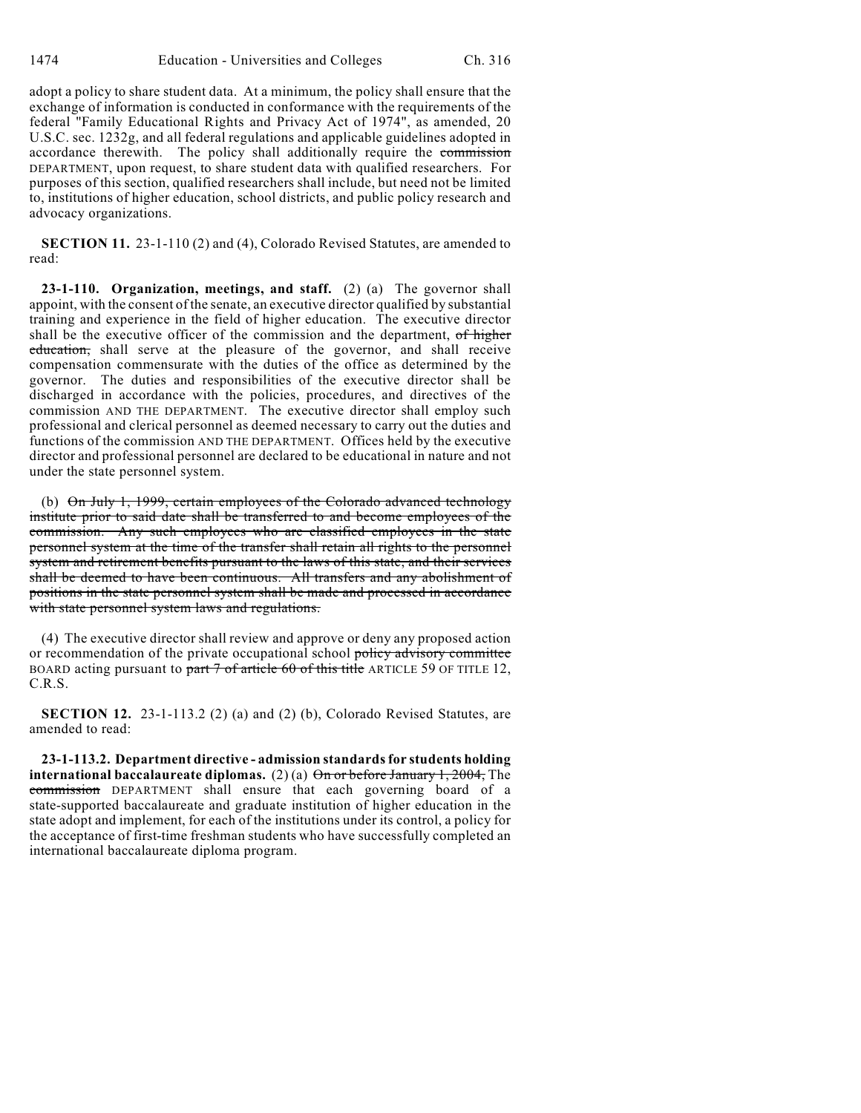adopt a policy to share student data. At a minimum, the policy shall ensure that the exchange of information is conducted in conformance with the requirements of the federal "Family Educational Rights and Privacy Act of 1974", as amended, 20 U.S.C. sec. 1232g, and all federal regulations and applicable guidelines adopted in accordance therewith. The policy shall additionally require the commission DEPARTMENT, upon request, to share student data with qualified researchers. For purposes of this section, qualified researchers shall include, but need not be limited to, institutions of higher education, school districts, and public policy research and advocacy organizations.

**SECTION 11.** 23-1-110 (2) and (4), Colorado Revised Statutes, are amended to read:

**23-1-110. Organization, meetings, and staff.** (2) (a) The governor shall appoint, with the consent of the senate, an executive director qualified by substantial training and experience in the field of higher education. The executive director shall be the executive officer of the commission and the department, of higher education, shall serve at the pleasure of the governor, and shall receive compensation commensurate with the duties of the office as determined by the governor. The duties and responsibilities of the executive director shall be discharged in accordance with the policies, procedures, and directives of the commission AND THE DEPARTMENT. The executive director shall employ such professional and clerical personnel as deemed necessary to carry out the duties and functions of the commission AND THE DEPARTMENT. Offices held by the executive director and professional personnel are declared to be educational in nature and not under the state personnel system.

(b) On July 1, 1999, certain employees of the Colorado advanced technology institute prior to said date shall be transferred to and become employees of the commission. Any such employees who are classified employees in the state personnel system at the time of the transfer shall retain all rights to the personnel system and retirement benefits pursuant to the laws of this state, and their services shall be deemed to have been continuous. All transfers and any abolishment of positions in the state personnel system shall be made and processed in accordance with state personnel system laws and regulations.

(4) The executive director shall review and approve or deny any proposed action or recommendation of the private occupational school policy advisory committee BOARD acting pursuant to part  $7$  of article 60 of this title ARTICLE 59 OF TITLE 12, C.R.S.

**SECTION 12.** 23-1-113.2 (2) (a) and (2) (b), Colorado Revised Statutes, are amended to read:

**23-1-113.2. Department directive - admission standards for students holding international baccalaureate diplomas.** (2) (a)  $\Theta$  or before January 1, 2004, The commission DEPARTMENT shall ensure that each governing board of a state-supported baccalaureate and graduate institution of higher education in the state adopt and implement, for each of the institutions under its control, a policy for the acceptance of first-time freshman students who have successfully completed an international baccalaureate diploma program.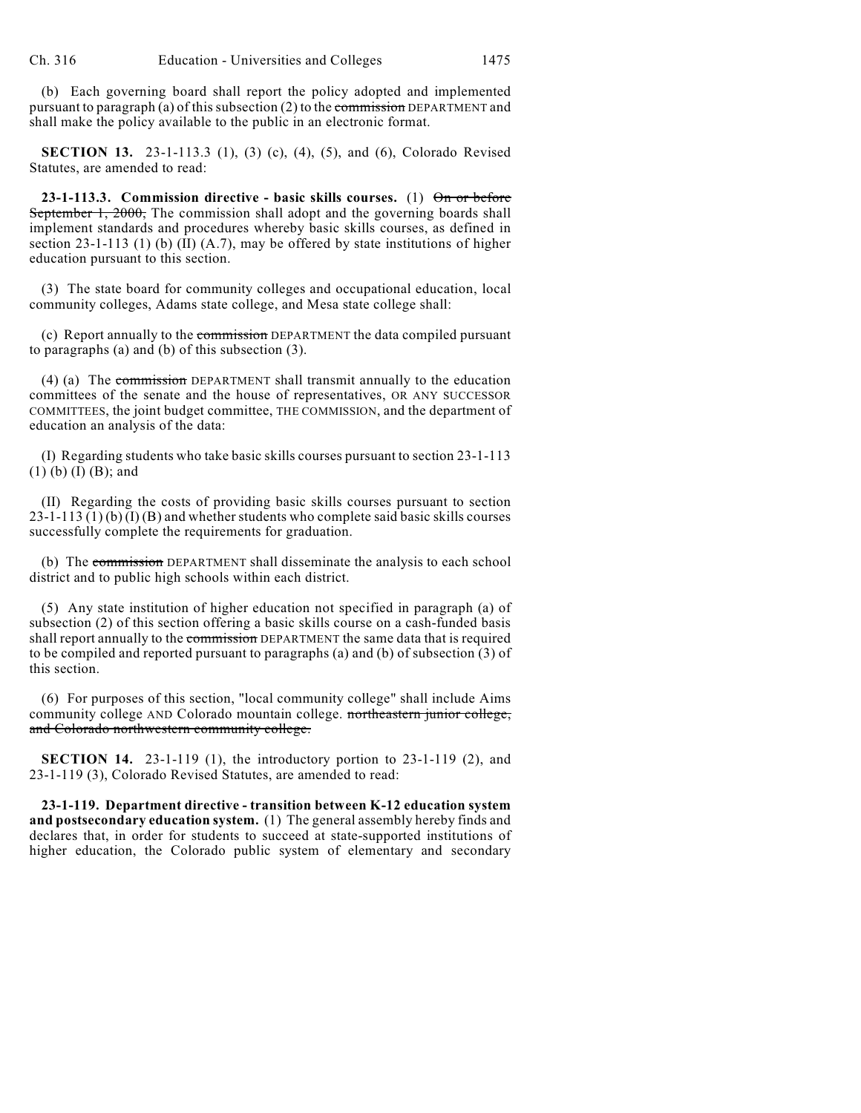(b) Each governing board shall report the policy adopted and implemented pursuant to paragraph (a) of this subsection (2) to the commission DEPARTMENT and shall make the policy available to the public in an electronic format.

**SECTION 13.** 23-1-113.3 (1), (3) (c), (4), (5), and (6), Colorado Revised Statutes, are amended to read:

**23-1-113.3. Commission directive - basic skills courses.** (1) On or before September 1, 2000, The commission shall adopt and the governing boards shall implement standards and procedures whereby basic skills courses, as defined in section 23-1-113 (1) (b) (II) (A.7), may be offered by state institutions of higher education pursuant to this section.

(3) The state board for community colleges and occupational education, local community colleges, Adams state college, and Mesa state college shall:

(c) Report annually to the commission DEPARTMENT the data compiled pursuant to paragraphs (a) and (b) of this subsection (3).

(4) (a) The commission DEPARTMENT shall transmit annually to the education committees of the senate and the house of representatives, OR ANY SUCCESSOR COMMITTEES, the joint budget committee, THE COMMISSION, and the department of education an analysis of the data:

(I) Regarding students who take basic skills courses pursuant to section 23-1-113 (1) (b) (I) (B); and

(II) Regarding the costs of providing basic skills courses pursuant to section 23-1-113 (1) (b) (I) (B) and whether students who complete said basic skills courses successfully complete the requirements for graduation.

(b) The commission DEPARTMENT shall disseminate the analysis to each school district and to public high schools within each district.

(5) Any state institution of higher education not specified in paragraph (a) of subsection (2) of this section offering a basic skills course on a cash-funded basis shall report annually to the commission DEPARTMENT the same data that is required to be compiled and reported pursuant to paragraphs (a) and (b) of subsection (3) of this section.

(6) For purposes of this section, "local community college" shall include Aims community college AND Colorado mountain college. northeastern junior college, and Colorado northwestern community college.

**SECTION 14.** 23-1-119 (1), the introductory portion to 23-1-119 (2), and 23-1-119 (3), Colorado Revised Statutes, are amended to read:

**23-1-119. Department directive - transition between K-12 education system and postsecondary education system.** (1) The general assembly hereby finds and declares that, in order for students to succeed at state-supported institutions of higher education, the Colorado public system of elementary and secondary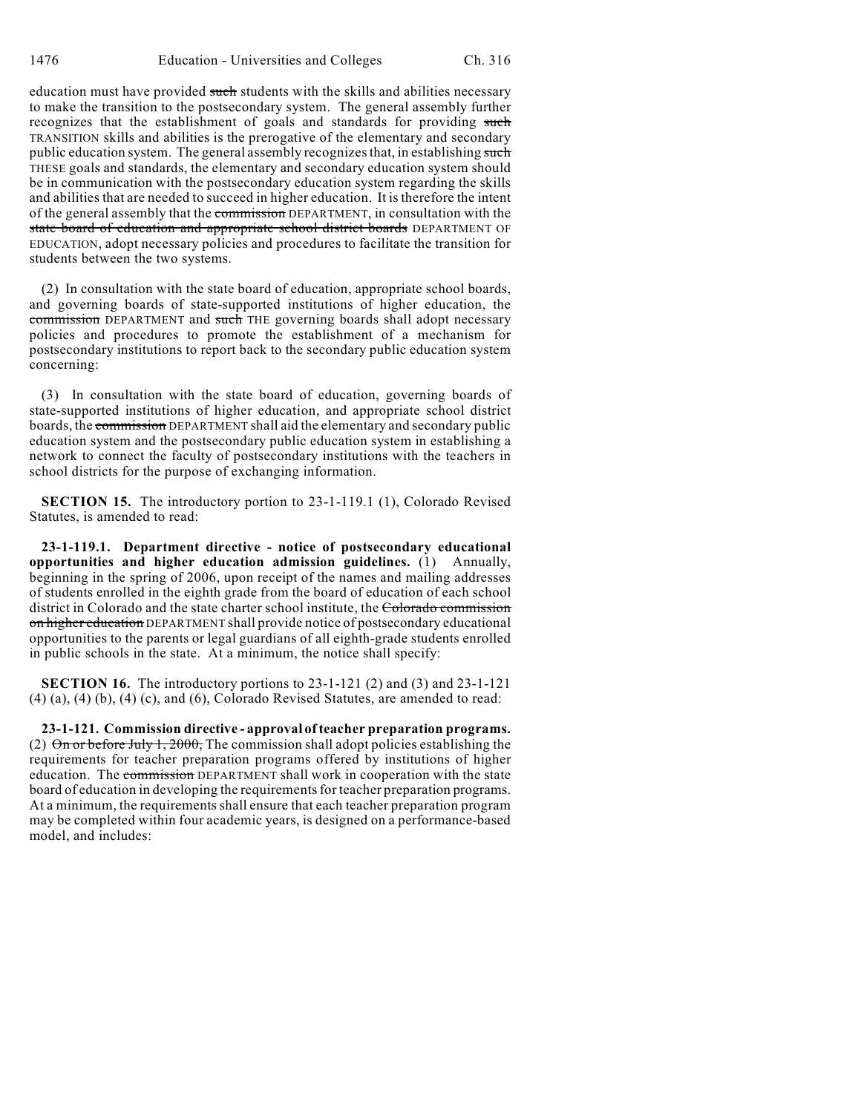education must have provided such students with the skills and abilities necessary to make the transition to the postsecondary system. The general assembly further recognizes that the establishment of goals and standards for providing such TRANSITION skills and abilities is the prerogative of the elementary and secondary public education system. The general assembly recognizes that, in establishing such THESE goals and standards, the elementary and secondary education system should be in communication with the postsecondary education system regarding the skills and abilities that are needed to succeed in higher education. It is therefore the intent of the general assembly that the commission DEPARTMENT, in consultation with the state board of education and appropriate school district boards DEPARTMENT OF EDUCATION, adopt necessary policies and procedures to facilitate the transition for students between the two systems.

(2) In consultation with the state board of education, appropriate school boards, and governing boards of state-supported institutions of higher education, the commission DEPARTMENT and such THE governing boards shall adopt necessary policies and procedures to promote the establishment of a mechanism for postsecondary institutions to report back to the secondary public education system concerning:

(3) In consultation with the state board of education, governing boards of state-supported institutions of higher education, and appropriate school district boards, the commission DEPARTMENT shall aid the elementary and secondary public education system and the postsecondary public education system in establishing a network to connect the faculty of postsecondary institutions with the teachers in school districts for the purpose of exchanging information.

**SECTION 15.** The introductory portion to 23-1-119.1 (1), Colorado Revised Statutes, is amended to read:

**23-1-119.1. Department directive - notice of postsecondary educational opportunities and higher education admission guidelines.** (1) Annually, beginning in the spring of 2006, upon receipt of the names and mailing addresses of students enrolled in the eighth grade from the board of education of each school district in Colorado and the state charter school institute, the Colorado commission on higher education DEPARTMENT shall provide notice of postsecondary educational opportunities to the parents or legal guardians of all eighth-grade students enrolled in public schools in the state. At a minimum, the notice shall specify:

**SECTION 16.** The introductory portions to 23-1-121 (2) and (3) and 23-1-121  $(4)$   $(a)$ ,  $(4)$   $(b)$ ,  $(4)$   $(c)$ , and  $(6)$ , Colorado Revised Statutes, are amended to read:

**23-1-121. Commission directive - approval of teacher preparation programs.** (2)  $\Theta$ n or before July 1, 2000, The commission shall adopt policies establishing the requirements for teacher preparation programs offered by institutions of higher education. The commission DEPARTMENT shall work in cooperation with the state board of education in developing the requirements for teacher preparation programs. At a minimum, the requirements shall ensure that each teacher preparation program may be completed within four academic years, is designed on a performance-based model, and includes: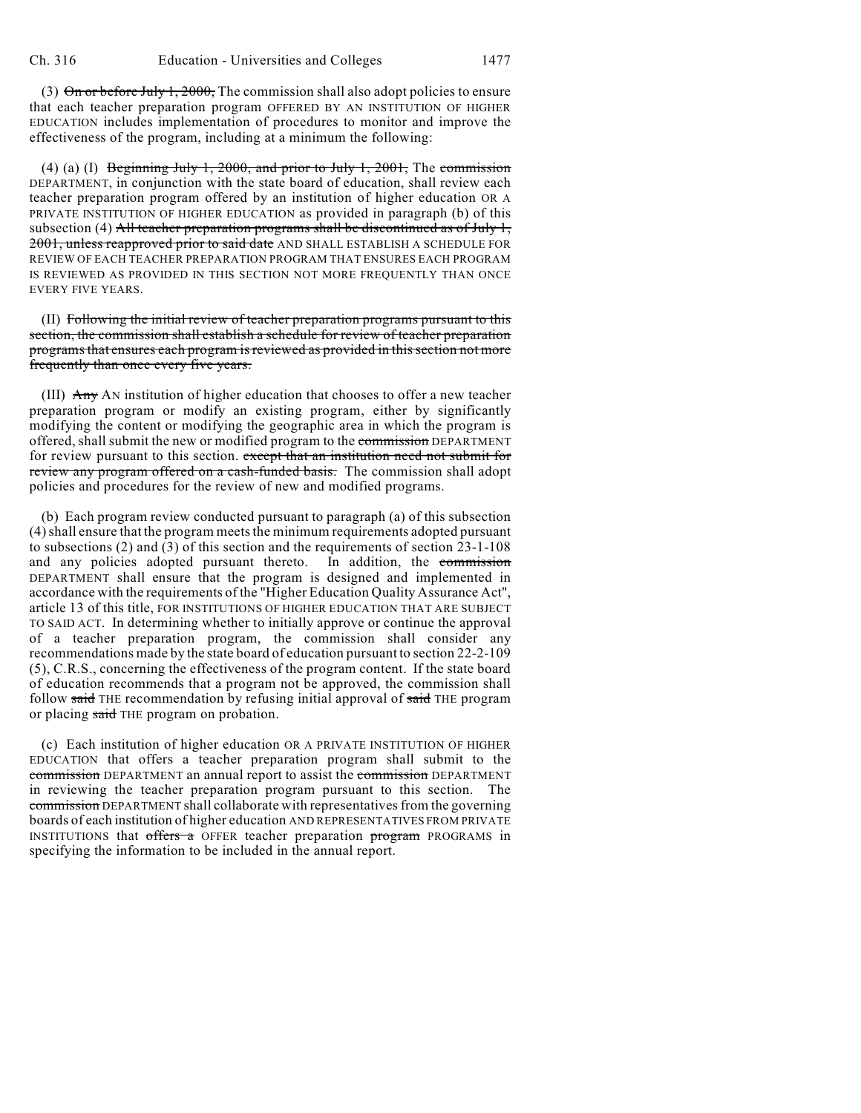(3)  $\Theta$ n or before July 1, 2000, The commission shall also adopt policies to ensure that each teacher preparation program OFFERED BY AN INSTITUTION OF HIGHER EDUCATION includes implementation of procedures to monitor and improve the effectiveness of the program, including at a minimum the following:

(4) (a) (I) Beginning July 1, 2000, and prior to July 1, 2001, The commission DEPARTMENT, in conjunction with the state board of education, shall review each teacher preparation program offered by an institution of higher education OR A PRIVATE INSTITUTION OF HIGHER EDUCATION as provided in paragraph (b) of this subsection (4) All teacher preparation programs shall be discontinued as of July 1, 2001, unless reapproved prior to said date AND SHALL ESTABLISH A SCHEDULE FOR REVIEW OF EACH TEACHER PREPARATION PROGRAM THAT ENSURES EACH PROGRAM IS REVIEWED AS PROVIDED IN THIS SECTION NOT MORE FREQUENTLY THAN ONCE EVERY FIVE YEARS.

(II) Following the initial review of teacher preparation programs pursuant to this section, the commission shall establish a schedule for review of teacher preparation programs that ensures each program is reviewed as provided in this section not more frequently than once every five years.

(III) Any AN institution of higher education that chooses to offer a new teacher preparation program or modify an existing program, either by significantly modifying the content or modifying the geographic area in which the program is offered, shall submit the new or modified program to the commission DEPARTMENT for review pursuant to this section. except that an institution need not submit for review any program offered on a cash-funded basis. The commission shall adopt policies and procedures for the review of new and modified programs.

(b) Each program review conducted pursuant to paragraph (a) of this subsection (4) shall ensure that the program meets the minimum requirements adopted pursuant to subsections (2) and (3) of this section and the requirements of section 23-1-108 and any policies adopted pursuant thereto. In addition, the commission DEPARTMENT shall ensure that the program is designed and implemented in accordance with the requirements of the "Higher Education Quality Assurance Act", article 13 of this title, FOR INSTITUTIONS OF HIGHER EDUCATION THAT ARE SUBJECT TO SAID ACT. In determining whether to initially approve or continue the approval of a teacher preparation program, the commission shall consider any recommendations made by the state board of education pursuant to section 22-2-109 (5), C.R.S., concerning the effectiveness of the program content. If the state board of education recommends that a program not be approved, the commission shall follow said THE recommendation by refusing initial approval of said THE program or placing said THE program on probation.

(c) Each institution of higher education OR A PRIVATE INSTITUTION OF HIGHER EDUCATION that offers a teacher preparation program shall submit to the commission DEPARTMENT an annual report to assist the commission DEPARTMENT in reviewing the teacher preparation program pursuant to this section. The commission DEPARTMENT shall collaborate with representatives from the governing boards of each institution of higher education AND REPRESENTATIVES FROM PRIVATE INSTITUTIONS that offers a OFFER teacher preparation program PROGRAMS in specifying the information to be included in the annual report.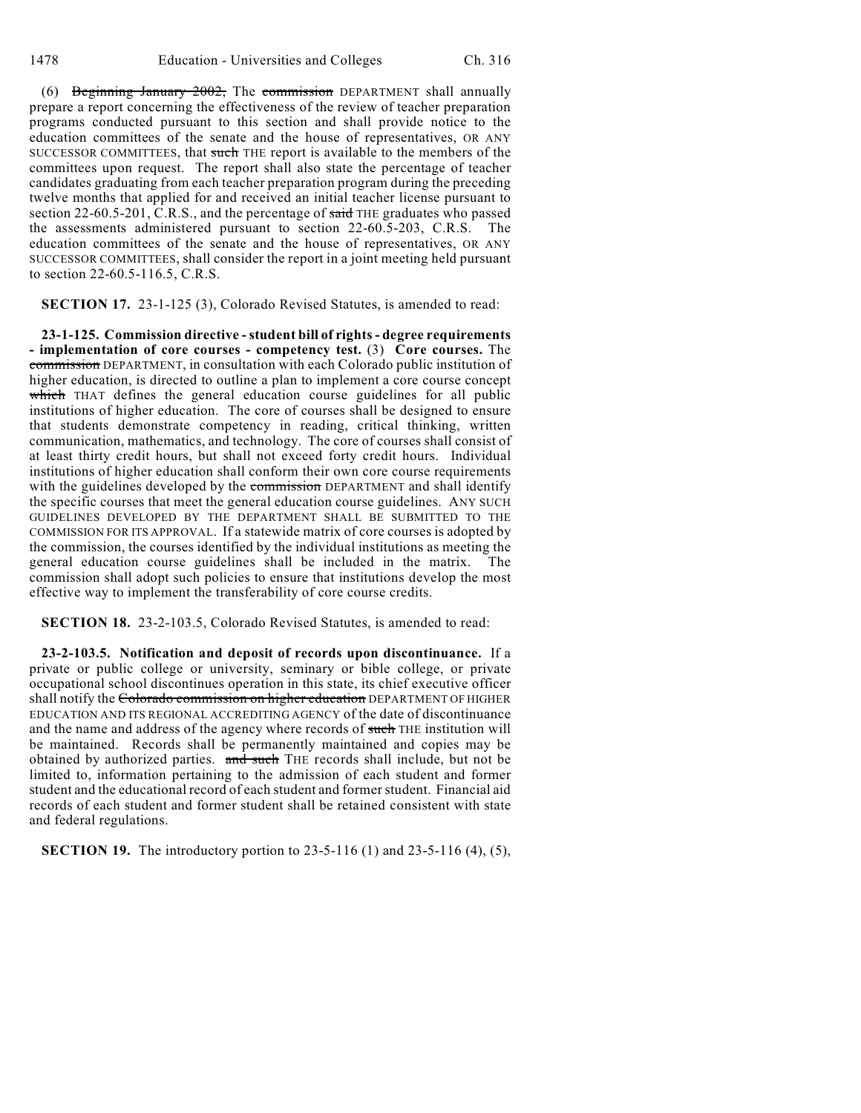(6) Beginning January 2002, The commission DEPARTMENT shall annually prepare a report concerning the effectiveness of the review of teacher preparation programs conducted pursuant to this section and shall provide notice to the education committees of the senate and the house of representatives, OR ANY SUCCESSOR COMMITTEES, that such THE report is available to the members of the committees upon request. The report shall also state the percentage of teacher candidates graduating from each teacher preparation program during the preceding twelve months that applied for and received an initial teacher license pursuant to section 22-60.5-201, C.R.S., and the percentage of  $s$ aid THE graduates who passed the assessments administered pursuant to section 22-60.5-203, C.R.S. The education committees of the senate and the house of representatives, OR ANY SUCCESSOR COMMITTEES, shall consider the report in a joint meeting held pursuant to section 22-60.5-116.5, C.R.S.

**SECTION 17.** 23-1-125 (3), Colorado Revised Statutes, is amended to read:

**23-1-125. Commission directive - student bill of rights - degree requirements - implementation of core courses - competency test.** (3) **Core courses.** The commission DEPARTMENT, in consultation with each Colorado public institution of higher education, is directed to outline a plan to implement a core course concept which THAT defines the general education course guidelines for all public institutions of higher education. The core of courses shall be designed to ensure that students demonstrate competency in reading, critical thinking, written communication, mathematics, and technology. The core of courses shall consist of at least thirty credit hours, but shall not exceed forty credit hours. Individual institutions of higher education shall conform their own core course requirements with the guidelines developed by the commission DEPARTMENT and shall identify the specific courses that meet the general education course guidelines. ANY SUCH GUIDELINES DEVELOPED BY THE DEPARTMENT SHALL BE SUBMITTED TO THE COMMISSION FOR ITS APPROVAL. If a statewide matrix of core courses is adopted by the commission, the courses identified by the individual institutions as meeting the general education course guidelines shall be included in the matrix. The commission shall adopt such policies to ensure that institutions develop the most effective way to implement the transferability of core course credits.

**SECTION 18.** 23-2-103.5, Colorado Revised Statutes, is amended to read:

**23-2-103.5. Notification and deposit of records upon discontinuance.** If a private or public college or university, seminary or bible college, or private occupational school discontinues operation in this state, its chief executive officer shall notify the Colorado commission on higher education DEPARTMENT OF HIGHER EDUCATION AND ITS REGIONAL ACCREDITING AGENCY of the date of discontinuance and the name and address of the agency where records of such THE institution will be maintained. Records shall be permanently maintained and copies may be obtained by authorized parties. and such THE records shall include, but not be limited to, information pertaining to the admission of each student and former student and the educational record of each student and former student. Financial aid records of each student and former student shall be retained consistent with state and federal regulations.

**SECTION 19.** The introductory portion to 23-5-116 (1) and 23-5-116 (4), (5),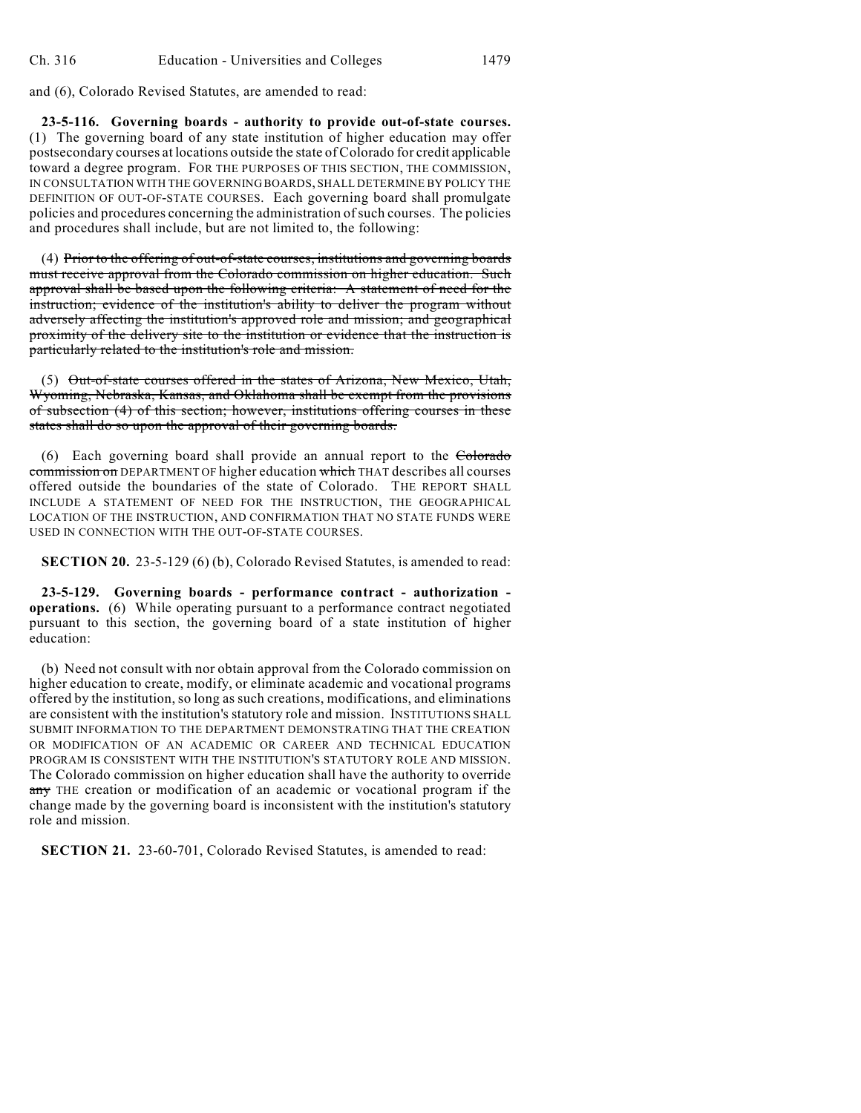and (6), Colorado Revised Statutes, are amended to read:

**23-5-116. Governing boards - authority to provide out-of-state courses.** (1) The governing board of any state institution of higher education may offer postsecondary courses at locations outside the state of Colorado for credit applicable toward a degree program. FOR THE PURPOSES OF THIS SECTION, THE COMMISSION, IN CONSULTATION WITH THE GOVERNING BOARDS, SHALL DETERMINE BY POLICY THE DEFINITION OF OUT-OF-STATE COURSES. Each governing board shall promulgate policies and procedures concerning the administration of such courses. The policies and procedures shall include, but are not limited to, the following:

(4) Prior to the offering of out-of-state courses, institutions and governing boards must receive approval from the Colorado commission on higher education. Such approval shall be based upon the following criteria: A statement of need for the instruction; evidence of the institution's ability to deliver the program without adversely affecting the institution's approved role and mission; and geographical proximity of the delivery site to the institution or evidence that the instruction is particularly related to the institution's role and mission.

(5) Out-of-state courses offered in the states of Arizona, New Mexico, Utah, Wyoming, Nebraska, Kansas, and Oklahoma shall be exempt from the provisions of subsection (4) of this section; however, institutions offering courses in these states shall do so upon the approval of their governing boards.

(6) Each governing board shall provide an annual report to the Colorado commission on DEPARTMENT OF higher education which THAT describes all courses offered outside the boundaries of the state of Colorado. THE REPORT SHALL INCLUDE A STATEMENT OF NEED FOR THE INSTRUCTION, THE GEOGRAPHICAL LOCATION OF THE INSTRUCTION, AND CONFIRMATION THAT NO STATE FUNDS WERE USED IN CONNECTION WITH THE OUT-OF-STATE COURSES.

**SECTION 20.** 23-5-129 (6) (b), Colorado Revised Statutes, is amended to read:

**23-5-129. Governing boards - performance contract - authorization operations.** (6) While operating pursuant to a performance contract negotiated pursuant to this section, the governing board of a state institution of higher education:

(b) Need not consult with nor obtain approval from the Colorado commission on higher education to create, modify, or eliminate academic and vocational programs offered by the institution, so long as such creations, modifications, and eliminations are consistent with the institution's statutory role and mission. INSTITUTIONS SHALL SUBMIT INFORMATION TO THE DEPARTMENT DEMONSTRATING THAT THE CREATION OR MODIFICATION OF AN ACADEMIC OR CAREER AND TECHNICAL EDUCATION PROGRAM IS CONSISTENT WITH THE INSTITUTION'S STATUTORY ROLE AND MISSION. The Colorado commission on higher education shall have the authority to override any THE creation or modification of an academic or vocational program if the change made by the governing board is inconsistent with the institution's statutory role and mission.

**SECTION 21.** 23-60-701, Colorado Revised Statutes, is amended to read: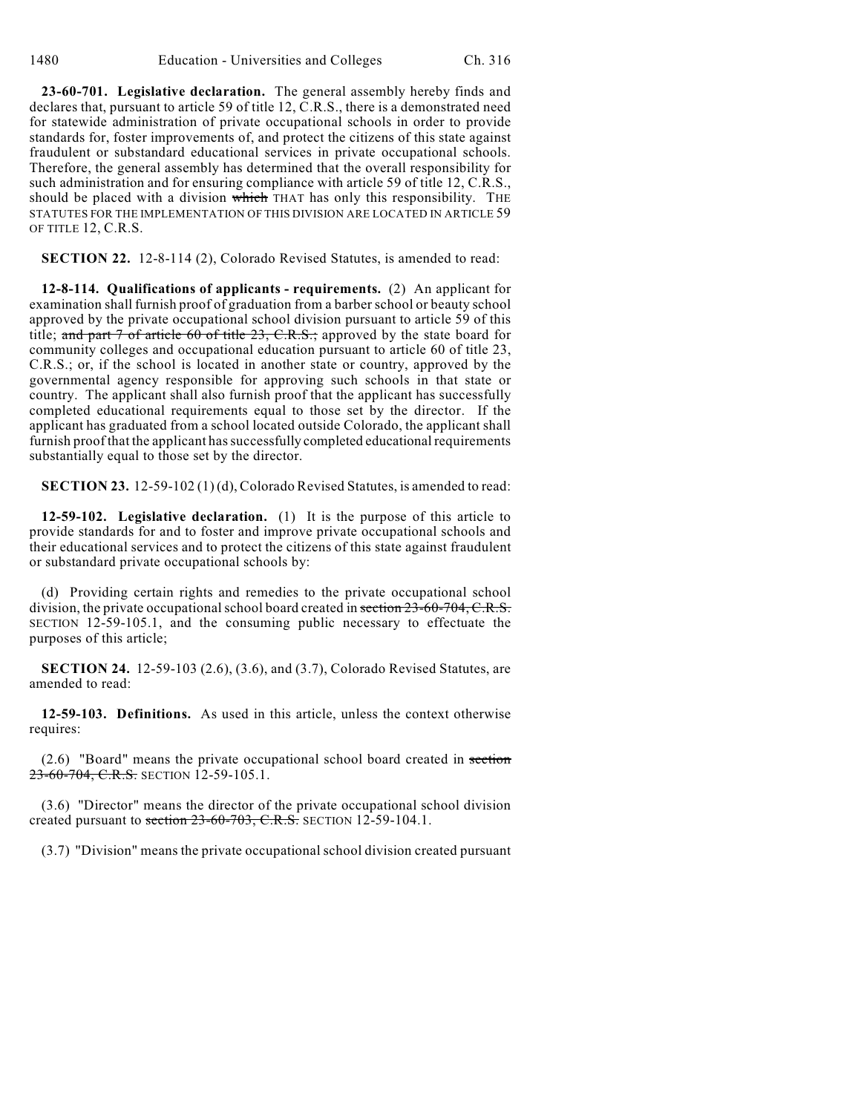**23-60-701. Legislative declaration.** The general assembly hereby finds and declares that, pursuant to article 59 of title 12, C.R.S., there is a demonstrated need for statewide administration of private occupational schools in order to provide standards for, foster improvements of, and protect the citizens of this state against fraudulent or substandard educational services in private occupational schools. Therefore, the general assembly has determined that the overall responsibility for such administration and for ensuring compliance with article 59 of title 12, C.R.S., should be placed with a division which THAT has only this responsibility. THE STATUTES FOR THE IMPLEMENTATION OF THIS DIVISION ARE LOCATED IN ARTICLE 59 OF TITLE 12, C.R.S.

**SECTION 22.** 12-8-114 (2), Colorado Revised Statutes, is amended to read:

**12-8-114. Qualifications of applicants - requirements.** (2) An applicant for examination shall furnish proof of graduation from a barber school or beauty school approved by the private occupational school division pursuant to article 59 of this title; and part  $7$  of article 60 of title 23, C.R.S.; approved by the state board for community colleges and occupational education pursuant to article 60 of title 23, C.R.S.; or, if the school is located in another state or country, approved by the governmental agency responsible for approving such schools in that state or country. The applicant shall also furnish proof that the applicant has successfully completed educational requirements equal to those set by the director. If the applicant has graduated from a school located outside Colorado, the applicant shall furnish proof that the applicant has successfully completed educational requirements substantially equal to those set by the director.

**SECTION 23.** 12-59-102 (1) (d), Colorado Revised Statutes, is amended to read:

**12-59-102. Legislative declaration.** (1) It is the purpose of this article to provide standards for and to foster and improve private occupational schools and their educational services and to protect the citizens of this state against fraudulent or substandard private occupational schools by:

(d) Providing certain rights and remedies to the private occupational school division, the private occupational school board created in section  $23-60-704$ , C.R.S. SECTION 12-59-105.1, and the consuming public necessary to effectuate the purposes of this article;

**SECTION 24.** 12-59-103 (2.6), (3.6), and (3.7), Colorado Revised Statutes, are amended to read:

**12-59-103. Definitions.** As used in this article, unless the context otherwise requires:

(2.6) "Board" means the private occupational school board created in section 23-60-704, C.R.S. SECTION 12-59-105.1.

(3.6) "Director" means the director of the private occupational school division created pursuant to section  $23-60-703$ , C.R.S. SECTION 12-59-104.1.

(3.7) "Division" means the private occupational school division created pursuant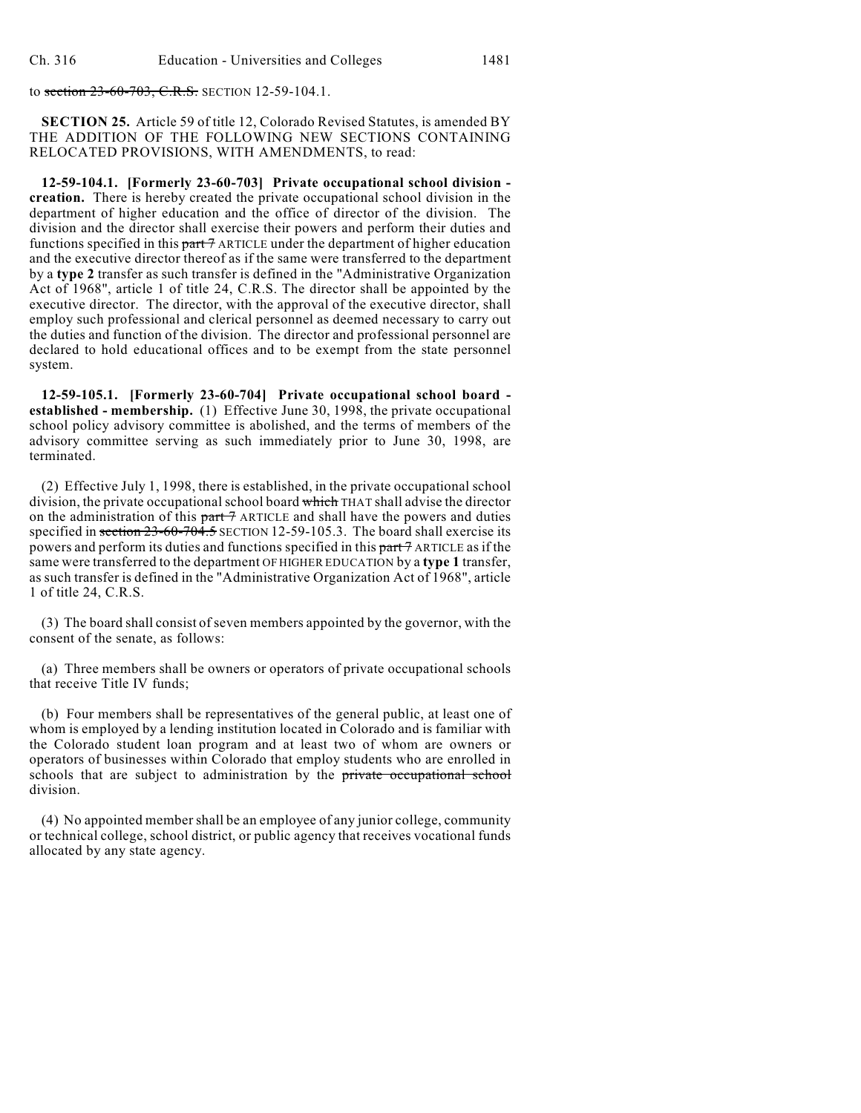to section 23-60-703, C.R.S. SECTION 12-59-104.1.

**SECTION 25.** Article 59 of title 12, Colorado Revised Statutes, is amended BY THE ADDITION OF THE FOLLOWING NEW SECTIONS CONTAINING RELOCATED PROVISIONS, WITH AMENDMENTS, to read:

**12-59-104.1. [Formerly 23-60-703] Private occupational school division creation.** There is hereby created the private occupational school division in the department of higher education and the office of director of the division. The division and the director shall exercise their powers and perform their duties and functions specified in this part 7 ARTICLE under the department of higher education and the executive director thereof as if the same were transferred to the department by a **type 2** transfer as such transfer is defined in the "Administrative Organization Act of 1968", article 1 of title 24, C.R.S. The director shall be appointed by the executive director. The director, with the approval of the executive director, shall employ such professional and clerical personnel as deemed necessary to carry out the duties and function of the division. The director and professional personnel are declared to hold educational offices and to be exempt from the state personnel system.

**12-59-105.1. [Formerly 23-60-704] Private occupational school board established - membership.** (1) Effective June 30, 1998, the private occupational school policy advisory committee is abolished, and the terms of members of the advisory committee serving as such immediately prior to June 30, 1998, are terminated.

(2) Effective July 1, 1998, there is established, in the private occupational school division, the private occupational school board which THAT shall advise the director on the administration of this  $part 7$  ARTICLE and shall have the powers and duties specified in section 23-60-704.5 SECTION 12-59-105.3. The board shall exercise its powers and perform its duties and functions specified in this part 7 ARTICLE as if the same were transferred to the department OF HIGHER EDUCATION by a **type 1** transfer, as such transfer is defined in the "Administrative Organization Act of 1968", article 1 of title 24, C.R.S.

(3) The board shall consist of seven members appointed by the governor, with the consent of the senate, as follows:

(a) Three members shall be owners or operators of private occupational schools that receive Title IV funds;

(b) Four members shall be representatives of the general public, at least one of whom is employed by a lending institution located in Colorado and is familiar with the Colorado student loan program and at least two of whom are owners or operators of businesses within Colorado that employ students who are enrolled in schools that are subject to administration by the private occupational school division.

(4) No appointed member shall be an employee of any junior college, community or technical college, school district, or public agency that receives vocational funds allocated by any state agency.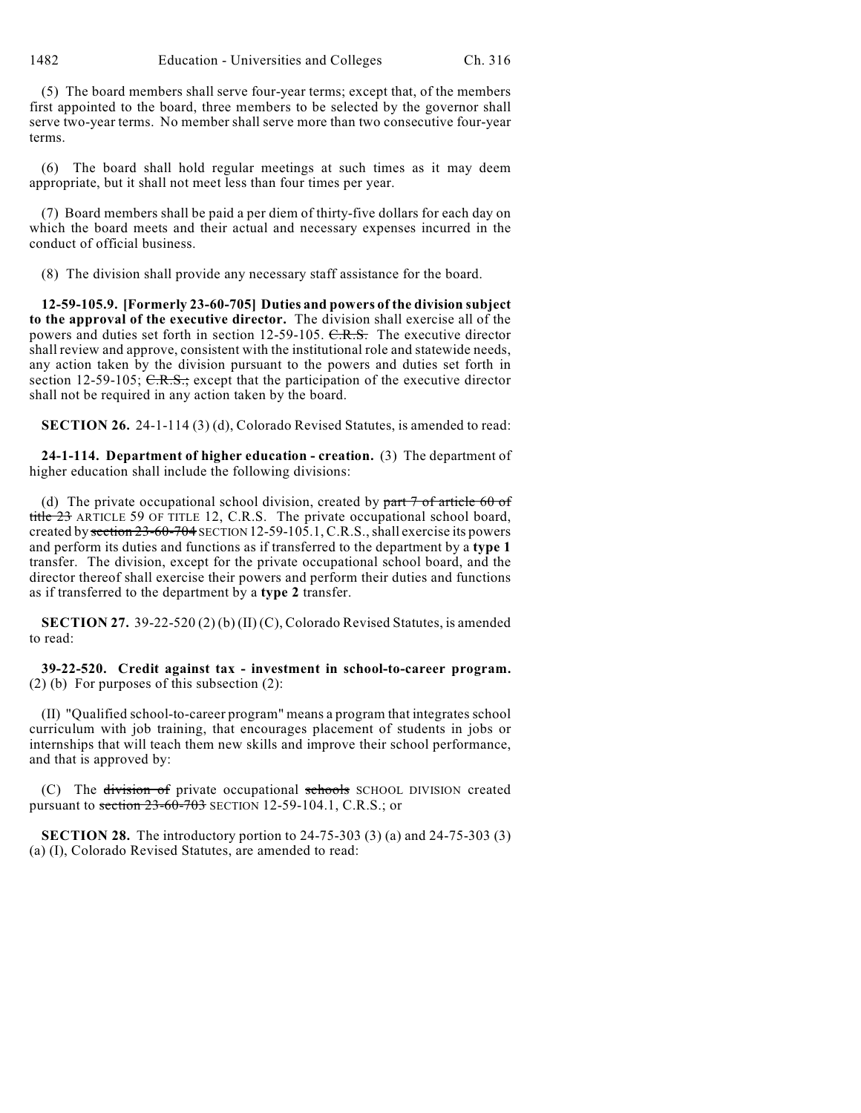1482 Education - Universities and Colleges Ch. 316

(5) The board members shall serve four-year terms; except that, of the members first appointed to the board, three members to be selected by the governor shall serve two-year terms. No member shall serve more than two consecutive four-year terms.

(6) The board shall hold regular meetings at such times as it may deem appropriate, but it shall not meet less than four times per year.

(7) Board members shall be paid a per diem of thirty-five dollars for each day on which the board meets and their actual and necessary expenses incurred in the conduct of official business.

(8) The division shall provide any necessary staff assistance for the board.

**12-59-105.9. [Formerly 23-60-705] Duties and powers of the division subject to the approval of the executive director.** The division shall exercise all of the powers and duties set forth in section 12-59-105. C.R.S. The executive director shall review and approve, consistent with the institutional role and statewide needs, any action taken by the division pursuant to the powers and duties set forth in section 12-59-105;  $\overline{C.R.S.}$ ; except that the participation of the executive director shall not be required in any action taken by the board.

**SECTION 26.** 24-1-114 (3) (d), Colorado Revised Statutes, is amended to read:

**24-1-114. Department of higher education - creation.** (3) The department of higher education shall include the following divisions:

(d) The private occupational school division, created by  $part 7$  of article 60 of title 23 ARTICLE 59 OF TITLE 12, C.R.S. The private occupational school board, created by section 23-60-704 SECTION 12-59-105.1, C.R.S., shall exercise its powers and perform its duties and functions as if transferred to the department by a **type 1** transfer. The division, except for the private occupational school board, and the director thereof shall exercise their powers and perform their duties and functions as if transferred to the department by a **type 2** transfer.

**SECTION 27.** 39-22-520 (2) (b) (II) (C), Colorado Revised Statutes, is amended to read:

**39-22-520. Credit against tax - investment in school-to-career program.** (2) (b) For purposes of this subsection (2):

(II) "Qualified school-to-career program" means a program that integrates school curriculum with job training, that encourages placement of students in jobs or internships that will teach them new skills and improve their school performance, and that is approved by:

(C) The division of private occupational schools SCHOOL DIVISION created pursuant to section  $23-60-703$  SECTION 12-59-104.1, C.R.S.; or

**SECTION 28.** The introductory portion to 24-75-303 (3) (a) and 24-75-303 (3) (a) (I), Colorado Revised Statutes, are amended to read: